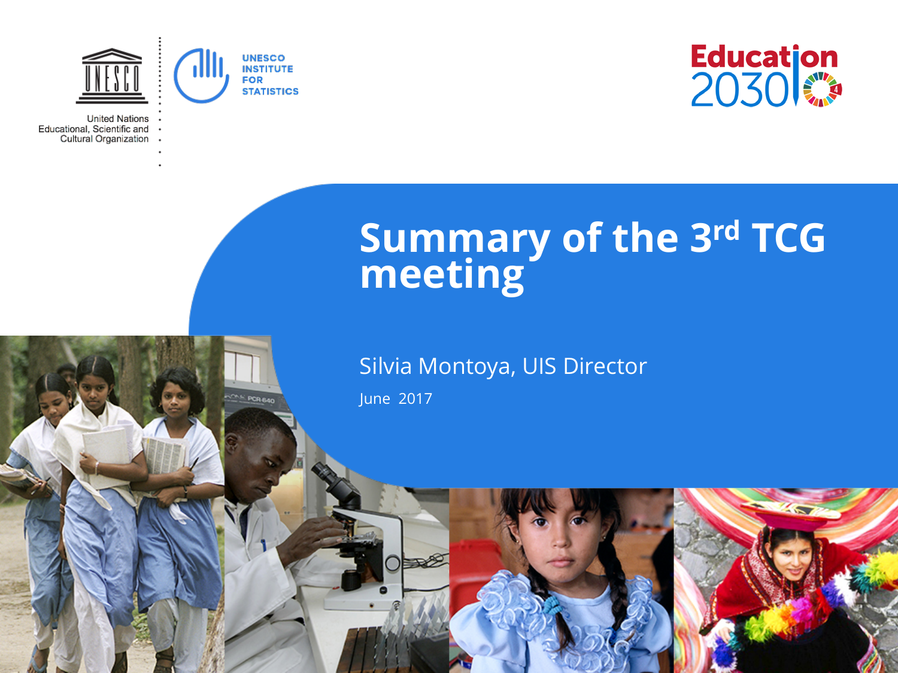

**CAS POR BAD** 

**United Nations** Educational, Scientific and Cultural Organization



## **Summary of the 3rd TCG meeting**

#### Silvia Montoya, UIS Director

June 2017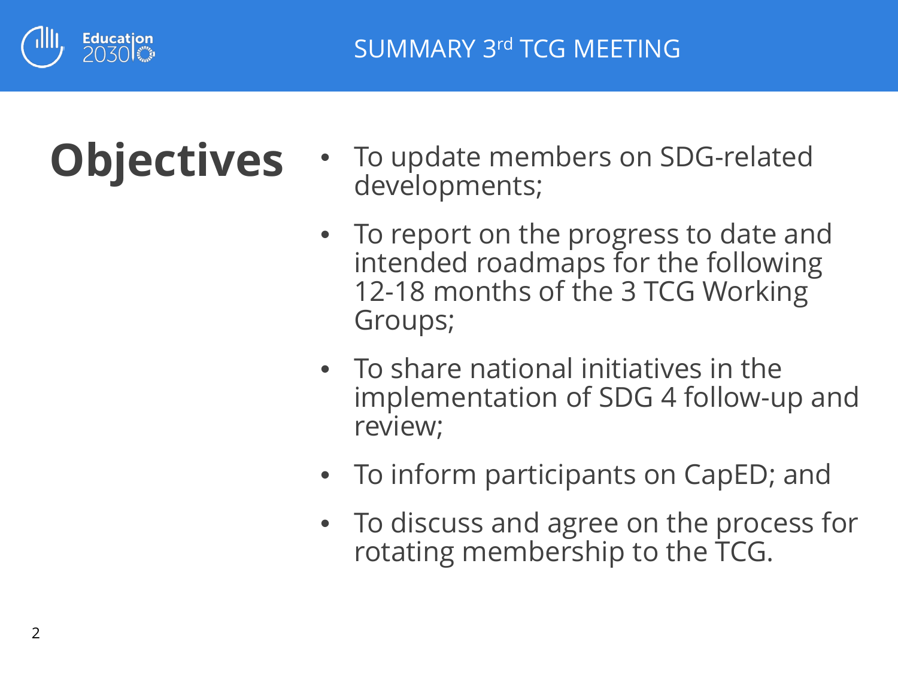

# **Objectives**

- To update members on SDG-related developments;
- To report on the progress to date and intended roadmaps for the following 12-18 months of the 3 TCG Working Groups;
- To share national initiatives in the implementation of SDG 4 follow-up and review;
- To inform participants on CapED; and
- To discuss and agree on the process for rotating membership to the TCG.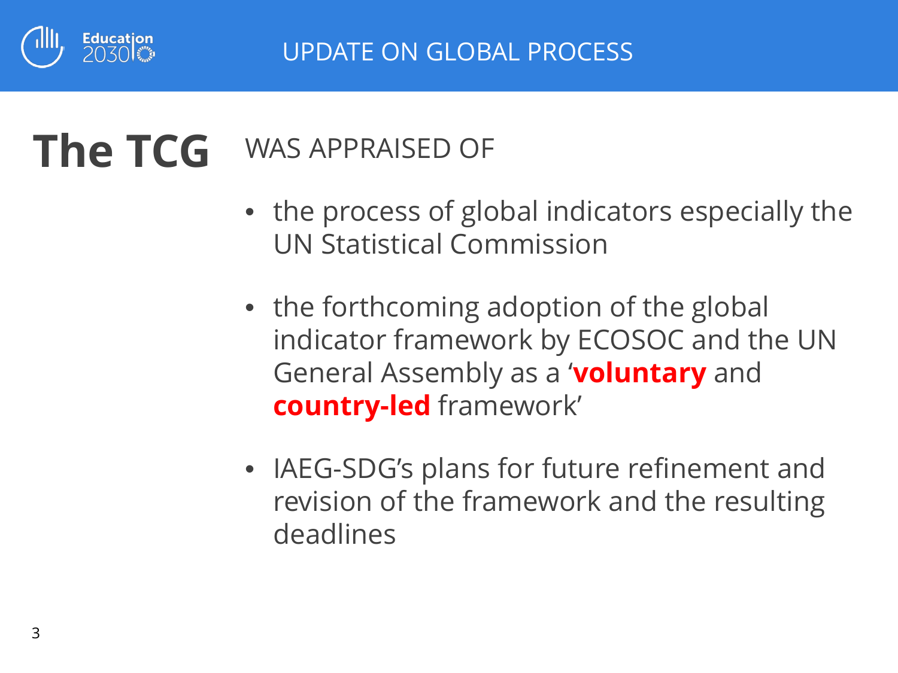

#### WAS APPRAISED OF **The TCG**

- the process of global indicators especially the UN Statistical Commission
- the forthcoming adoption of the global indicator framework by ECOSOC and the UN General Assembly as a '**voluntary** and **country-led** framework'
- IAEG-SDG's plans for future refinement and revision of the framework and the resulting deadlines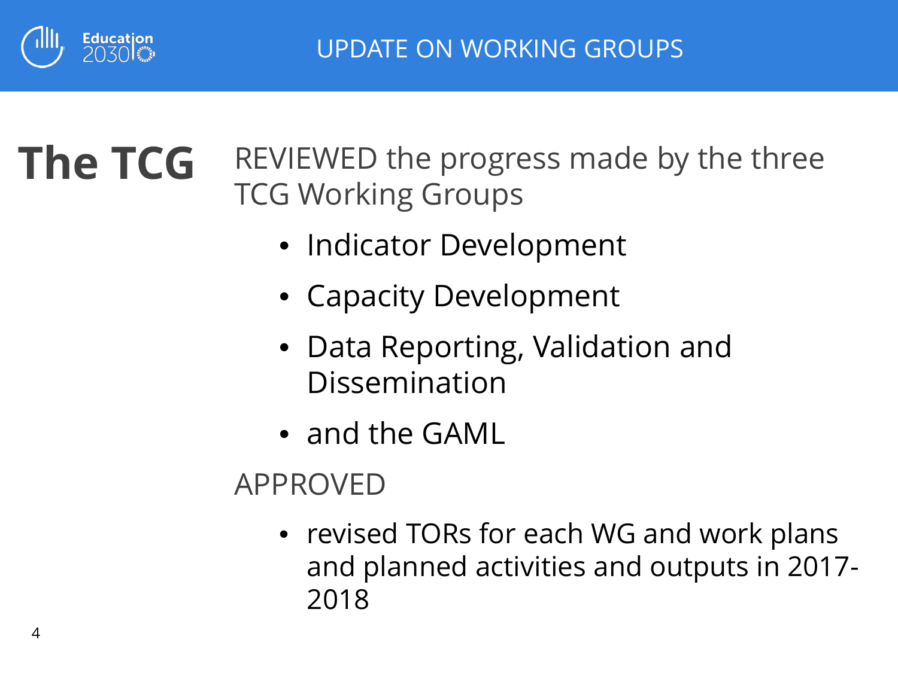

#### REVIEWED the progress made by the three TCG Working Groups **The TCG**

- Indicator Development
- Capacity Development
- Data Reporting, Validation and Dissemination
- and the GAML

## APPROVED

• revised TORs for each WG and work plans and planned activities and outputs in 2017- 2018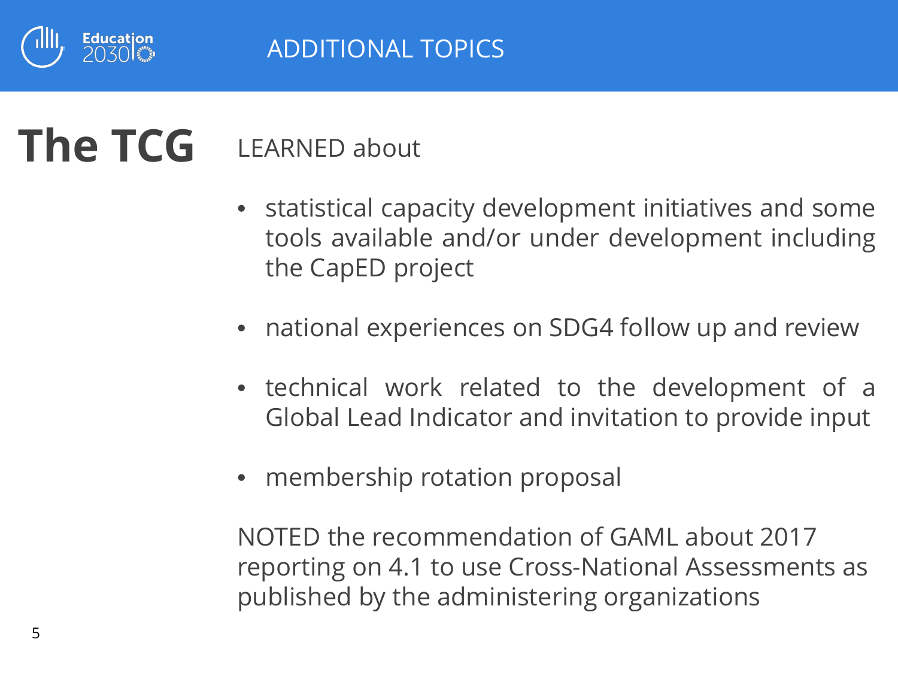

#### LEARNED about **The TCG**

- statistical capacity development initiatives and some tools available and/or under development including the CapED project
- national experiences on SDG4 follow up and review
- technical work related to the development of a Global Lead Indicator and invitation to provide input
- membership rotation proposal

NOTED the recommendation of GAML about 2017 reporting on 4.1 to use Cross-National Assessments as published by the administering organizations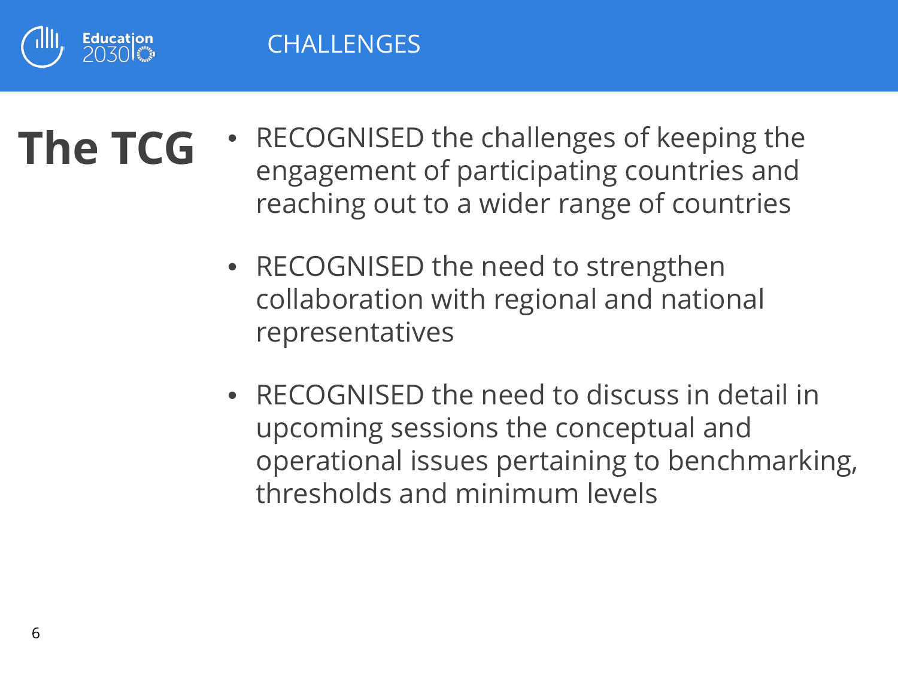

# **The TCG**

- RECOGNISED the challenges of keeping the engagement of participating countries and reaching out to a wider range of countries
	- RECOGNISED the need to strengthen collaboration with regional and national representatives
	- RECOGNISED the need to discuss in detail in upcoming sessions the conceptual and operational issues pertaining to benchmarking, thresholds and minimum levels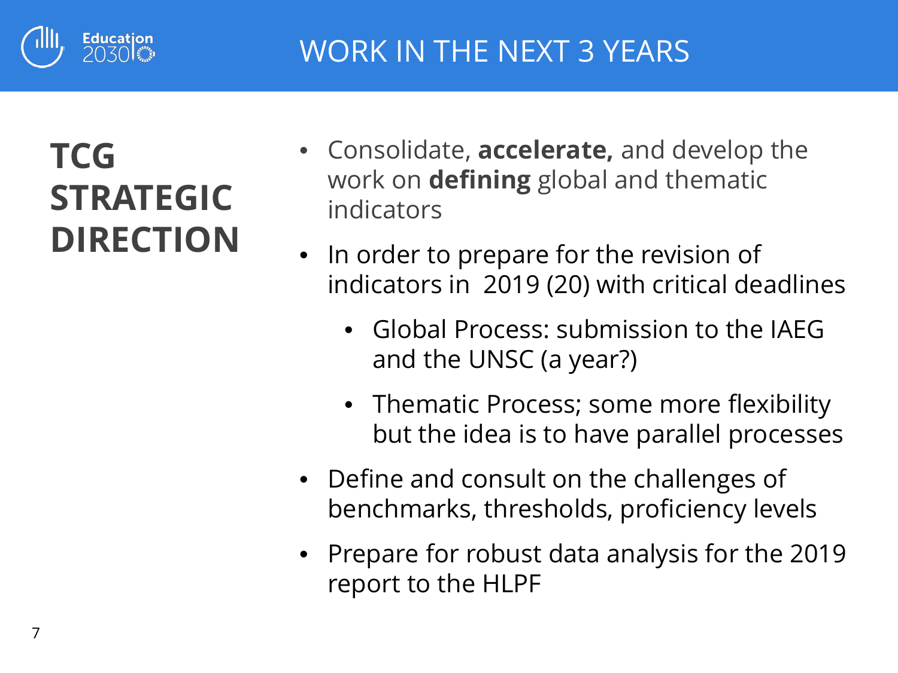

## **TCG STRATEGIC DIRECTION**

- Consolidate, **accelerate,** and develop the work on **defining** global and thematic indicators
- In order to prepare for the revision of indicators in 2019 (20) with critical deadlines
	- Global Process: submission to the IAEG and the UNSC (a year?)
	- Thematic Process; some more flexibility but the idea is to have parallel processes
- Define and consult on the challenges of benchmarks, thresholds, proficiency levels
- Prepare for robust data analysis for the 2019 report to the HLPF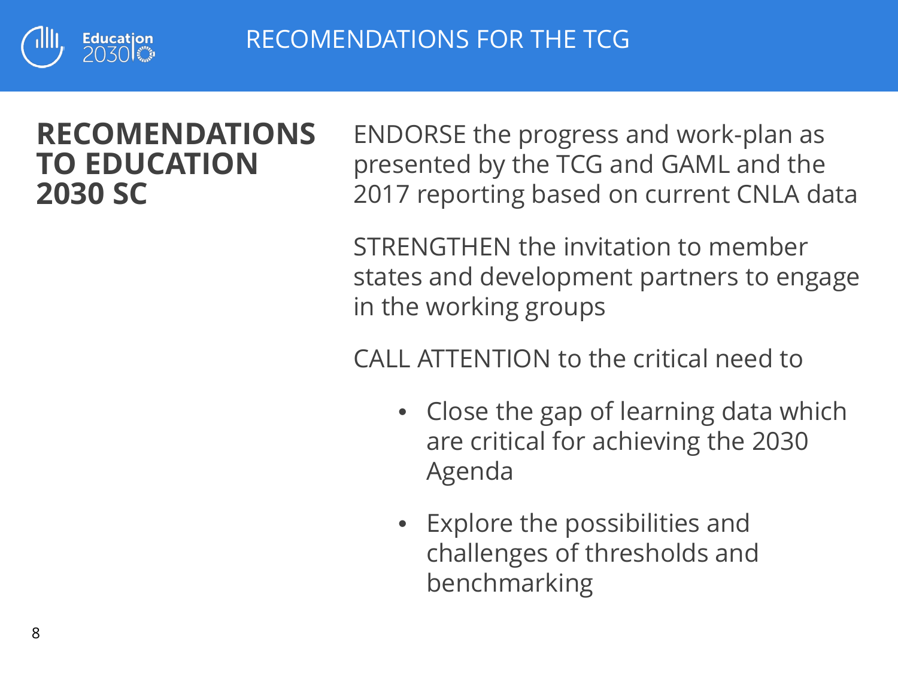

RECOMENDATIONS FOR THE TCG

### **RECOMENDATIONS TO EDUCATION 2030 SC**

ENDORSE the progress and work-plan as presented by the TCG and GAML and the 2017 reporting based on current CNLA data

STRENGTHEN the invitation to member states and development partners to engage in the working groups

CALL ATTENTION to the critical need to

- Close the gap of learning data which are critical for achieving the 2030 Agenda
- Explore the possibilities and challenges of thresholds and benchmarking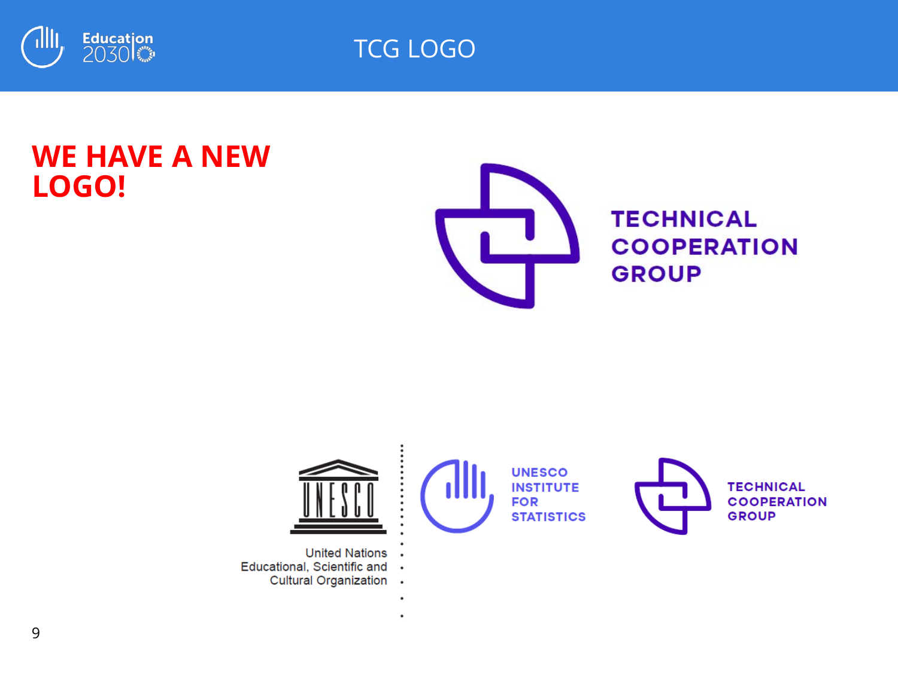

TCG LOGO

 $\ddot{\phantom{0}}$ 

### **WE HAVE A NEW LOGO!**